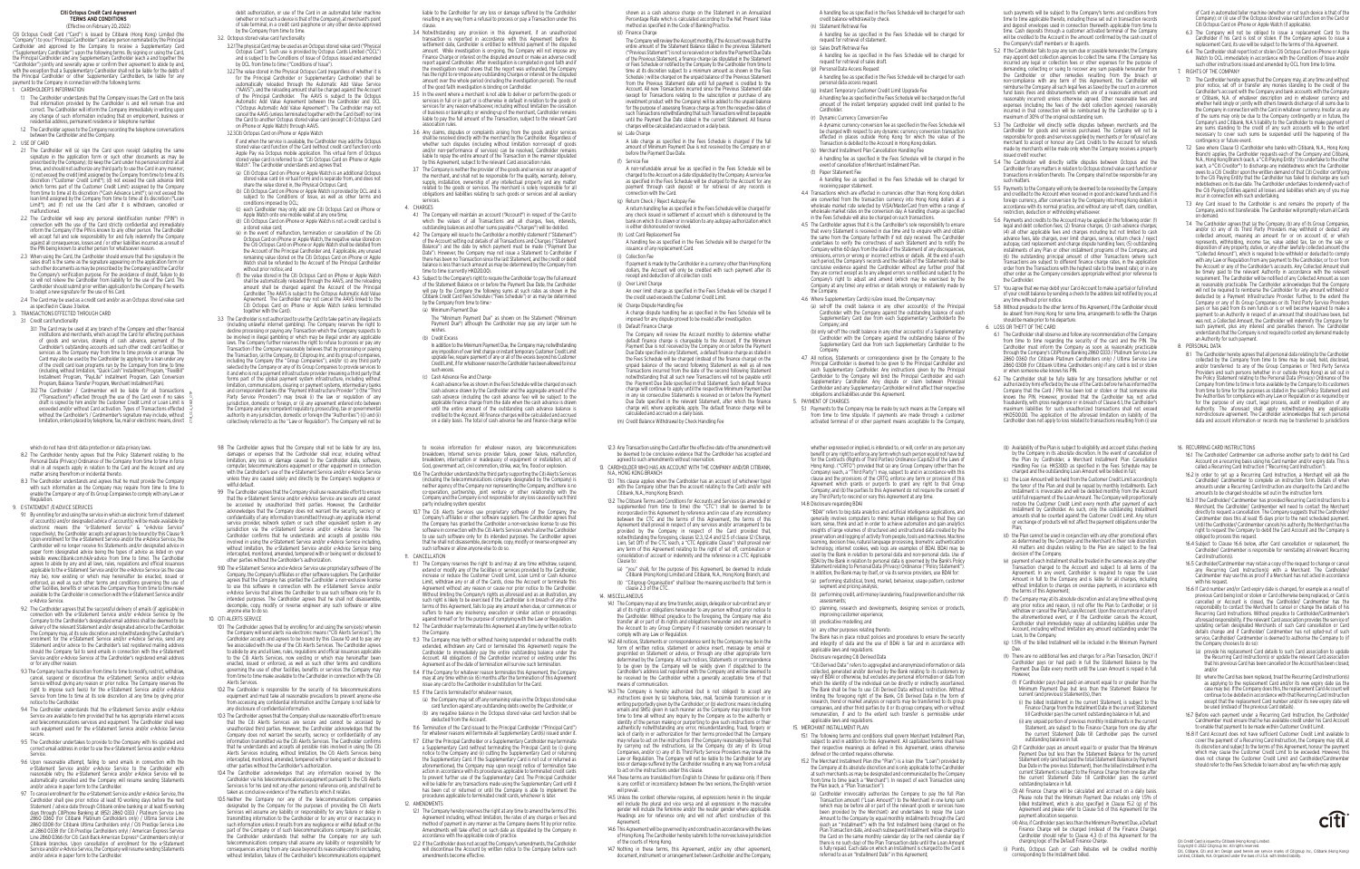A handling fee as specified in the Fees Schedule will be charged for each credit balance withdrawal by check. (n) Statement Retrieval Fee

- A handling fee as specified in the Fees Schedule will be charged for request for retrieval of statement.
- (o) Sales Draft Retrieval Fee A handling fee as specified in the Fees Schedule will be charged for request for retrieval of sales draft.
- (p) Personal Data Access Request A handling fee as specified in the Fees Schedule will be charged for each personal data access request.
- (q) Instant Temporary Customer Credit Limit Upgrade Fee
- A handling fee as specified in the Fees Schedule will be charged on the full amount of the instant temporary upgraded credit limit granted to the Cardholder.
- (r) Dynamic Currency Conversion Fee A dynamic currency conversion fee as specified in the Fees Schedule will be charged with respect to any dynamic currency conversion transaction effected in places outside Hong Kong for which the value of the
- Transaction is debited to the Account in Hong Kong dollars. (s) Merchant Installment Plan Cancellation Handling Fee A handling fee as specified in the Fees Schedule will be charged in the
- event of cancellation of Merchant Installment Plan. (t) Paper Statement Fee
- A handling fee as specified in the Fees Schedule will be charged for receiving paper statement.
- 4.4 Transactions which are effected in currencies other than Hong Kong dollars are converted from the transaction currency into Hong Kong dollars at a wholesale market rate selected by VISA/MasterCard from within a range wholesale market rates on the conversion day. A handling charge as specified in the Fees Schedule will also be charged on such transactions.
- 4.5 The Cardholder agrees that it is the Cardholder's sole responsibility to ensure that every Statement is received in due time and to enquire with and obtain the same from the Company forthwith if not duly received. The Cardholder undertakes to verify the correctness of each Statement and to notify the Company within 60 days from the date of the Statement of any discrepancies omissions, errors or wrong or incorrect entries or details. At the end of each such period, the Company's records and the details of the Statements shall be conclusive evidence against the Cardholder without any further proof that they are correct except as to any alleged errors so notified and subject to the Company's right to adjust and amend (which may be exercised by the Company at any time) any entries or details wrongly or mistakenly made by the Company.
- 4.6 Where Supplementary Card(s) is/are issued, the Company may
- (a) set-off the credit balance in any other account(s) of the Principal Cardholder with the Company against the outstanding balance of each Supplementary Card due from each Supplementary Cardholderto the Company; and
- (b) only set-off the credit balance in any other account(s) of a Supplementary Cardholder with the Company against the outstanding balance of the Supplementary Card due from such Supplementary Cardholder to the Company.
- 4.7 All notices, Statements or correspondence given by the Company to the Principal Cardholder is deemed to be given to the Principal Cardholder and each Supplementary Cardholder. Any instructions given by the Principal Cardholder to the Company will bind the Principal Cardholder and each Supplementary Cardholder. Any dispute or claim between Principal Cardholder and any Supplementary Cardholder will not affect their respective obligations and liabilities under this Agreement.
- 5. PAYMENT OF CHARGES
- 5.1 Payments to the Company may be made by such means as the Company will from time to time stipulate. If payments are made through a custome activated terminal of or other payment means acceptable to the Company,

1.1 The Cardholder understands that the Company issues the Card on the basis that information provided by the Cardholder is and will remain true and correct. The Cardholder will inform the Company immediately in writing upon any change of such information including that on employment, business or residential address, permanent residence or telephone number.

### **Citi Octopus Credit Card Agreement TERMS AND CONDITIONS**

(Effective on February 20, 2022) Citi Octopus Credit Card ("Card") is issued by Citibank (Hong Kong) Limited (the "Company") to you ("Principal Cardholder") and any person nominated by the Principal Cardholder and approved by the Company to receive a Supplementary Card ("Supplementary Cardholder") upon the following terms. By signing or using the Card, the Principal Cardholder and any Supplementary Cardholder (each a and together th "Cardholder") jointly and severally agree or confirm their agreement to abide by and, with the exception that a Supplementary Cardholder shall not be liable for the debts of the Principal Cardholder or other Supplementary Cardholders, be liable for any payment to the Company in connection with the following terms:

# 1. CARDHOLDER'S INFORMATION

 1.2 The Cardholder agrees to the Company recording the telephone conversations between the Cardholder and the Company.

- 2. USE OF CARD 2.1 The Cardholder will (a) sign the Card upon receipt (adopting the same signature in the application form or such other documents as may be prescribed by the Company); (b) keep the Card under his personal control at all times, and should not authorize any third party to use the Card in any manner; (c) not exceed the credit limit assigned by the Company from time to time at it discretion ("Customer Credit Limit"); (d) not exceed the cash advance limit (which forms part of the Customer Credit Limit) assigned by the Company from time to time at its discretion ("Cash Advance Limit"); (e) not exceed the loan limit assigned by the Company from time to time at its discretion ("Loan Limit"); and (f) not use the Card after it is withdrawn, cancelled or malfunctioned.
- 2.2 The Cardholder will keep any personal identification number ("PIN") in connection with the use of the Card strictly confidential and immediately inform the Company if the PIN is known to any other person. The Cardholder will accept full and sole responsibility for and fully indemnify the Compar against all consequences, losses and / or other liabilities incurred as a result of the PIN being known to another person for whatsoever reason.
- 2.3 When using the Card, the Cardholder should ensure that the signature in the sales draft is the same as the signature appearing on the application form (or such other documents as may be prescribed by the Company) and the Card for the Company's verification purpose. For the avoidance of doubt, failure to do so will not relieve the Cardholder from liability for the use of the Card. Th Cardholder should submit prior written application to the Company if he wants to adopt a new signature for the use of his Card.
- 2.4 The Card may be used as a credit card and/or as an Octopus stored value card as specified in Clause 3 below.

3. TRANSACTIONS EFFECTED THROUGH CARD

In addition to the Minimum Payment Due, the Company may, notwithstanding any imposition of over limit charge or instant temporary Customer Credit Limit upgrade fee, require payment of any or all of the excess beyond his Customer Credit Limit, if for whatsoever reason the Cardholder has been allowed to incur such excess.

debit authorization, or use of the Card in an automated teller machine (whether or not such a device is that of the Company), at merchant's point of sale terminal, in a credit card payphone or any other device approved by the Company from time to time.

3.2. Octopus stored value card functionality

- 3.2.1 The physical Card may be used as an Octopus stored value card ("Physical Octopus Card"). Such use is provided by Octopus Cards Limited ("OCL") and is subject to the Conditions of Issue of Octopus issued and amended by OCL from time to time ("Conditions of Issue").
- 3.2.2 The value stored in the Physical Octopus Card (regardless of whether it is for the Principal Cardholder or Supplementary Cardholder) shall be automatically reloaded through the Automatic Add Value Service ("AAVS"), and the reloading amount shall be charged against the Account of the Principal Cardholder. The AAVS is subject to the Octopus Automatic Add Value Agreement between the Cardholder and OCL ("Octopus Automatic Add Value Agreement"). The Cardholder may not cancel the AAVS (unless terminated together with the Card itself) nor link the Card to another Octopus stored value card (except Citi Octopus Card on iPhone or Apple Watch) through AAVS.
- 3.2.3 Citi Octopus Card on iPhone or Apple Watch

 If and when the service is available, the Cardholder may add the Octopus stored value card function of the Card (without credit card function) onto Apple Pay via Octopus mobile application. This virtual form of Octopus stored value card is referred to as "Citi Octopus Card on iPhone or Apple Watch". The Cardholder understands and agrees that:

of Card in automated teller machine (whether or not such device is that of the Company); or (ii) use of the Octopus stored value card function on the Card or Citi Octopus Card on iPhone or Apple Watch (if applicable).

liable to the Cardholder for any loss or damage suffered by the Cardholder resulting in any way from a refusal to process or pay a Transaction under this clause.

- 3.4 Notwithstanding any provision in this Agreement, if an unauthorized transaction is reported in accordance with this Agreement before it settlement date, Cardholder is entitled to withhold payment of the disputed amount. While investigation is on-going, the Company will not impose any Finance Charge or interest on the disputed amount or make an adverse credit report against Cardholder. After investigation is completed in good faith and if the investigation result shows that the report was unfounded, the Compan has the right to re-impose any outstanding Charges or interest on the disputed amount over the whole period (including the investigation period). The result of the good faith investigation is binding on Cardholder.
- 3.5 In the event where a merchant is not able to deliver or perform the goods or services in full or in part or is otherwise in default in relation to the goods or services for any reason whatsoever, including without limitation the cessation of business or bankruptcy or winding-up of the merchant, Cardholder remains liable to pay the full amount of the Transaction, subject to the relevant Card association rules.
- 3.6 Any claims, disputes or complaints arising from the goods and/or services shall be resolved directly with the merchant by the Cardholder. Regardless of whether such disputes (including without limitation non-receipt of goods and/or non-performance of services) can be resolved, Cardholder remain liable to repay the entire amount of the Transaction in the manner stipulated by this Agreement, subject to the relevant Card association rules.
- 3.7 The Company is neither the provider of the goods and services nor an agent of the merchant, and shall not be responsible for the quality, warranty, delivery, supply, installation, ownership of any intellectual property and any matter related to the goods or services. The merchant is solely responsible for all obligations and liabilities relating to such goods or services and all auxiliary services.
- 4. CHARGES
- 4.1 The Company will maintain an account ("Account") in respect of the Card to which the values of all Transactions and all charges, fees, interests, outstanding balances and other sums payable ("Charges") will be debited.
- 4.2 The Company will issue to the Cardholder a monthly statement ("Statement" of the Account setting out details of all Transactions and Charges ("Statement Balance") and the date by which payment must be made ("Payment Due Date"). However, the Company may not issue a Statement to Cardholder in there has been no Transaction since the last Statement, and the credit or debit balance is less than such amount as may be determined by the Company from time to time (currently HKD20.00).
- 4.3 Subject to the Company's right to require the Cardholder to pay the full amount of the Statement Balance on or before the Payment Due Date, the Cardholder will pay to the Company the following sums at such rates as shown in the Citibank Credit Card Fees Schedule ("Fees Schedule") or as may be determined by the Company from time to time:-
- (a) Minimum Payment Due
- The "Minimum Payment Due" as shown on the Statement ("Minimum Payment Due") although the Cardholder may pay any larger sum he wishes.
- (b) Credit Excess

- (c) Cash Advance Fee and Charge
- A cash advance fee as shown in the Fees Schedule will be charged on each cash advance drawn by the Cardholder and the aggregate amount of the cash advance (including the cash advance fee) will be subject to the applicable finance charge from the date when the cash advance is drawn until the entire amount of the outstanding cash advance balance is credited to the Account. All finance charges will be calculated and accrued on a daily basis. The total of cash advance fee and finance charge will be

shown as a cash advance charge on the Statement in an Annualized Percentage Rate which is calculated according to the Net Present Value method as specified in the Code of Banking Practice.

 The Company will review the Account monthly, if the Account reveals that the entire amount of the Statement Balance stated in the previous Statement ("Previous Statement") is not so received on or before the Payment Due Date of the Previous Statement, a finance charge (as stipulated in the Statement or Fees Schedule or notified by the Company to the Cardholder from time to time at its discretion subject to a minimum amount as shown in the Fees Schedule ) will be charged on the unpaid balance of the Previous Statement from the Previous Statement date until full payment is credited to the Account. All new Transactions incurred since the Previous Statement date (except for Transactions relating to the subscription or purchase of any investment product with the Company) will be added to the unpaid balance for the purpose of assessing finance charge as from the respective dates of such Transactions notwithstanding that such Transactions will not be payable until the Payment Due Date stated in the current Statement. All finance charges will be calculated and accrued on a daily basis.

 A late charge as specified in the Fees Schedule is charged if the full amount of Minimum Payment Due is not received by the Company on or

 A non-refundable annual fee as specified in the Fees Schedule will be charged to the Account on a date stipulated by the Company. A service fee as specified in the Fees Schedule will be charged to the Account for any payment through cash deposit or for retrieval of any records in

 A return handling fee as specified in the Fees Schedule will be charged for any check issued in settlement of account which is dishonoured by the bank on which it is drawn or in relation to any autopay authorization which

 A handling fee as specified in the Fees Schedule will be charged for the issuance of any replacement Card.

 If payment is made by the Cardholder in a currency other than Hong Kong dollars, the Account will only be credited with such payment after its receipt and deduction of all collection costs

 An over limit charge as specified in the Fees Schedule will be charged if the credit used exceeds the Customer Credit Limit.

 A charge dispute handling fee as specified in the Fees Schedule will be imposed for any dispute proved to be invalid after investigation.

 The Company will review the Account monthly to determine whether default finance charge is chargeable to the Account. If the Minimum Payment Due is not received by the Company on or before the Payment Due Date specified in any Statement, a default finance charge as stated in the Fees Schedule will be charged (instead of the finance charge) on the unpaid balance of the second following Statement as well as all new Transactions incurred from the date of the second following Statemen notwithstanding that all such new Transactions will not be payable until the Payment Due Date specified in that Statement. Such default finance charge will continue to apply until the respective Minimum Payment Due in any six consecutive Statements is received on or before the Payment Due Date specified in the relevant Statement, after which the finance charge will, where applicable, apply. The default finance charge will be

(m) Credit Balance Withdrawal by Check Handling Fee

such payments will be subject to the Company's terms and conditions from time to time applicable thereto, including those set out in transaction records and deposit envelopes used in connection therewith applicable from time to time. Cash deposits through a customer activated terminal of the Company will be credited to the Account in the amount confirmed by the cash count of the Company's staff members or its agents.

- 5.2 If the Cardholder fails to pay any sum due or payable hereunder, the Company may appoint debt collection agencies to collect the same. If the Company has incurred any legal or collection fees or other expenses for the purpose of demanding, collecting or suing to recover any sum payable hereunder from the Cardholder or other remedies resulting from the breach or non-compliance with any term of this Agreement, the Cardholder will reimburse the Company all such legal fees as taxed by the court on a common fund basis (fees and disbursements which are of a reasonable amount and reasonably incurred) unless otherwise agreed. Other reasonable fees and expenses (including the fees of the debt collection agencies) reasonably incurred in that connection will be reimbursed by the Cardholder up to a maximum of 30% of the original outstanding sum.
- 5.3 The Cardholder will directly settle disputes between merchants and the Cardholder for goods and services purchased. The Company will not be responsible for goods and services supplied by merchants or for refusal of any merchant to accept or honour any Card. Credits to the Account for refunds made by merchants will be made only when the Company receives a properly issued credit voucher.
- 5.4 The Cardholder will directly settle disputes between Octopus and the Cardholder for any matters in relation to Octopus stored value card function or transactions in relation thereto. The Company shall not be responsible for any such matters.
- 5.5 Payments to the Company will only be deemed to be received by the Company and credited to the Account when received in good and cleared funds and if in foreign currency, after conversion by the Company into Hong Kong dollars in accordance with its normal practice, and without any set-off, claim, condition, restriction, deduction or withholding whatsoever
- 5.6 Payments and credits to the Account may be applied in the following order: (1) legal and debt collection fees; (2) finance charges; (3) cash advance charges; (4) all other applicable fees and charges including but not limited to cash advance fees, late charges, over limit charges, service, return check / reject autopay, card replacement and charge dispute handling fees; (5) outstanding installments of any Plan or other installment programs of the Company; and (6) the outstanding principal amount of other Transactions (where such Transactions are subject to different finance charge rates, in the application order from the Transactions with the highest rate to the lowest rate); or in any other order as the Company considers appropriate without prior reference to the Cardholder.
- 5.7 You agree that we may debit your Card Account to make a partial or full refund of your credit balance by sending a check to the address last notified by you, at any time without prior notice.
- 5.8 Without prejudice to the other terms of this Agreement, if the Cardholder should be absent from Hong Kong for some time, arrangements to settle the Charges should be made prior to his departure.

 14.3 The Company is hereby authorized (but is not obliged) to accept any instructions given by (a) telephone, telex, mail, facsimile transmission or in writing purportedly given by the Cardholder; or (b) electronic means (including emails and SMS) given in such manner as the Company may prescribe from time to time all without any inquiry by the Company as to the authority or identity of the person making or purporting to give such instructions or their authenticity notwithstanding any error, misunderstanding, fraud, forgery or lack of clarity in or authorization for their terms provided that the Company may refuse to act on the instructions if the Company reasonably believes that by carrying out the instructions, (a) the Company, (b) any of its Group Companies, and/or (c) any of its Third Party Service Providers may break the Law or Regulation. The Company will not be liable to the Cardholder for any loss or damage suffered by the Cardholder resulting in any way from a refusal

6. LOSS OR THEFT OF THE CARD

- 3.1 Credit card functionality
- 3.1.1 The Card may be used at any branch of the Company and other financial institutions and merchants, which accept the Card for effecting purchases of goods and services, drawing of cash advance, payment of the Cardholder's outstanding accounts and such other credit card facilities or services as the Company may from time to time provide or arrange. The Card may also be used by the Cardholder by applying for a loan under any of the credit card loan programs run by the Company from time to tim (including, without limitation, "Quick Cash" Installment Program, "FlexiBill" Installment Program, "PayLite" Installment Program, Cash Conversion Program, Balance Transfer Program, Merchant Installment Plan).
- 3.1.2 The Cardholder / Cardmember will be liable for all transactions ("Transactions") effected through the use of the Card even if no sales draft is signed by him and/or the Customer Credit Limit or Loan Limit is exceeded and/or without Card activation. Types of Transactions effected without the Cardholder's / Cardmember's signature may include, without limitation, orders placed by telephone, fax, mail or electronic means, direct CTB\_CCA\_0821\_OTP
- (a) Citi Octopus Card on iPhone or Apple Watch is an additional Octopus stored value card (in virtual form) and is separate from, and does not share the value stored in, the Physical Octopus Card;
- (b) Citi Octopus Card on iPhone or Apple Watch is provided by OCL and is subject to the Conditions of Issue, as well as other terms and conditions imposed by OCL;
- (c) each Cardholder may only add one Citi Octopus Card on iPhone or Apple Watch onto one mobile wallet at any one time; (d) Citi Octopus Card on iPhone or Apple Watch is not a credit card but is a stored value card;
- (e) in the event of malfunction, termination or cancellation of the Citi Octopus Card on iPhone or Apple Watch, the negative value stored on the Citi Octopus Card on iPhone or Apple Watch shall be debited from the Account of the Principal Cardholder and, if applicable, any unused remaining value stored on the Citi Octopus Card on iPhone or Apple Watch shall be refunded to the Account of the Principal Cardholder without prior notice; and
- (f) the value stored in the Citi Octopus Card on iPhone or Apple Watch shall be automatically reloaded through the AAVS, and the reloading amount shall be charged against the Account of the Principal Cardholder. The AAVS is subject to the Octopus Automatic Add Value Agreement. The Cardholder may not cancel the AAVS linked to the Citi Octopus Card on iPhone or Apple Watch (unless terminated together with the Card).
- 3.3 The Cardholder is not authorized to use the Card to take part in any illegal acts (including unlawful internet gambling). The Company reserves the right to decline processing or paying any Transaction which the Company suspects to be involved in illegal gambling or which may be illegal under any applicable laws. The Company further reserves the right to refuse to process or pay any Transaction if the Company reasonably believes that by processing or paying the Transaction, (a) the Company, (b) Citigroup Inc. and its group of companies, including the Company (the "Group Companies"), and/or (c) any third party selected by the Company or any of its Group Companies to provide services to it and who is not a payment infrastructure provider (meaning a third party that forms part of the global payment system infrastructure, including without limitation, communications, clearing or payment systems, intermediary banks and correspondent banks (the "Payment Infrastructure Provider")) (the "Third Party Service Providers") may break (i) the law or regulation of any jurisdiction, domestic or foreign, or (ii) any agreement entered into between the Company and any competent regulatory, prosecuting, tax or governmental authority in any jurisdiction, domestic or foreign (the "Authorities") ((i) and (ii) collectively referred to as the "Law or Regulation"). The Company will not be
- 9.8 The Cardholder agrees that the Company shall not be liable for any loss, damages or expenses that the Cardholder shall incur, including without limitation, any loss or damage caused to the Cardholder data, software, computer, telecommunications equipment or other equipment in connection with the Cardholder's use of the e-Statement Service and/or e-Advice Service unless they are caused solely and directly by the Company's negligence or willful default.
- 9.9 The Cardholder agrees that the Company shall use reasonable effort to ensure that the e-Statement Service and/or e-Advice Service are secure and canno be accessed by unauthorized third parties. However, the Cardholder acknowledges that the Company does not warrant the security, secrecy or confidentiality of any information transmitted through any applicable internet service provider, network system or such other equivalent system in any jurisdiction via the e-Statement Service and/or e-Advice Service. The Cardholder confirms that he understands and accepts all possible risks involved in using the e-Statement Service and/or e-Advice Service including, without limitation, the e-Statement Service and/or e-Advice Service being intercepted, monitored, amended, tempered with or being sent or disclosed to other parties without the Cardholder's authorization.
- 9.10 The e-Statement Service and e-Advice Service use proprietary software of the Company, the Company's affiliates or other software suppliers. The Cardholder agrees that the Company has granted the Cardholder a non-exclusive license to use this software in connection with the e-Statement Service and/o e-Advice Service that allows the Cardholder to use such software only for its intended purposes. The Cardholder agrees that he shall not disassemble, decompile, copy, modify or reverse engineer any such software or allow anyone else to do so.
- 10. CITI ALERTS SERVICE 101. The Cardholder agrees that by enrolling for and using the service(s) wherein the Company will send alerts via electronic means ("Citi Alerts Services"), the Cardholder accepts and agrees to be bound by this Clause 10 and to pay any fee associated with the use of the Citi Alerts Services. The Cardholder agrees to abide by any and all laws, rules, regulations and official issuances applicable to the Citi Alerts Services, now existing or which may hereinafter been enacted, issued or enforced, as well as such other terms and conditions governing the use of other facilities, benefits or services the Company may from time to time make available to the Cardholder in connection with the Citi
- Alerts Services. 10.2 The Cardholder is responsible for the security of his telecommunications equipment and must take all reasonable precautions to prevent anyone else from accessing any confidential information and the Company is not liable for any disclosure of confidential information.
- 10.3 The Cardholder agrees that the Company shall use reasonable effort to ensure that the Citi Alerts Services are secure and cannot be accessed by unauthorized third parties. However, the Cardholder acknowledges that the Company does not warrant the security, secrecy or confidentiality of any information transmitted via the Citi Alerts Services. The Cardholder confirms that he understands and accepts all possible risks involved in using the Citi Alerts Services including, without limitation, the Citi Alerts Services being intercepted, monitored, amended, tempered with or being sent or disclosed to other parties without the Cardholder's authorization.
- 10.4 The Cardholder acknowledges that any information received by the Cardholder via his telecommunications equipment pursuant to the Citi Alerts Services is for his (and not any other persons) reference only, and shall not be taken as conclusive evidence of the matters to which it relates.
- 10.5 Neither the Company nor any of the telecommunications companies designated by the Company for the purposes of providing the Citi Alerts Services will assume any liability or responsibility for any failure or delay in transmitting information to the Cardholder or for any error or inaccuracy in such information unless it results from any negligence or willful default on the part of the Company or of such telecommunications company. In particular, the Cardholder understands that neither the Company nor any such telecommunications company shall assume any liability or responsibility for consequences arising from any cause beyond its reasonable control including, without limitation, failure of the Cardholder's telecommunications equipment
- 6.3 The Company will not be obliged to issue a replacement Card to the Cardholder if his Card is lost or stolen. If the Company agrees to issue a replacement Card, its use will be subject to the terms of this Agreement.
- 6.4 The Cardholder shall report lost or stolen Citi Octopus Card on iPhone or Apple Watch to OCL immediately in accordance with the Conditions of Issue and/or such other instructions issued and amended by OCL from time to time. 7. RIGHTS OF THE COMPANY
- 7.1 The Cardholder hereby agrees that the Company may, at any time and without prior notice, set off or transfer any monies standing to the credit of the Cardholder's account with the Company and bank accounts with the Company or Citibank, N.A. of whatever description and in whatever currency and whether held singly or jointly with others towards discharge of all sums due to the Company in connection with the Card in whatever currency. Insofar as any of the sums may only be due to the Company contingently or in future, the Company's and Citibank, N.A.'s liability to the Cardholder to make payment of any sums standing to the credit of any such accounts will to the extent necessary to cover such sums be suspended until the happening of the contingency or future event.
- 7.2 Save where Clause 13 (Cardholder who banks with Citibank, N.A., Hong Kong Branch) applies, the Cardholder requests each of the Company and Citibank, N.A., Hong Kong Branch (each, a "Citi Paying Entity") to undertake to the other (each, a "Citi Creditor") to discharge any indebtedness which the Cardholde owes to a Citi Creditor upon the written demand of that Citi Creditor certifying to the Citi Paying Entity that the Cardholder has failed to discharge any such indebtedness on its due date. The Cardholder undertakes to indemnify each of the Citi Paying Entities against all losses and liabilities which any of you may incur in connection with such undertaking.
- 7.3 Any Card issued to the Cardholder is and remains the property of the Company, and is not transferable. The Cardholder will promptly return all Cards on demand.
- 7.4 The Cardholder agrees that (a) the Company, (b) any of its Group Companies, and/or (c) any of its Third Party Providers may withhold or deduct any collected amount, meaning an amount for or on account of, or which represents, withholding, income tax, value added tax, tax on the sale or disposition of any property, duties, or any other lawfully collected amount (the "Collected Amount"), which is required to be withheld or deducted to comply with any Law or Regulation from any payment to the Cardholder, or to or from the Account or any of the Cardholder's accounts. Any Collected Amount shall be timely paid to the relevant Authority in accordance with the relevant requirement. The Cardholder will be notified of any Collected Amount as soon as reasonably practicable. The Cardholder acknowledges that the Company will not be required to reimburse the Cardholder for any amount withheld or deducted by a Payment Infrastructure Provider. Further, to the extent the Company or any of its Group Companies or its Third Party Service Providers pays or has paid from its own funds or is or will become required to make a ment to an Authority in respect of an amount that should have been, but was not, a Collected Amount, the Cardholder will indemnify the Company for such payment, plus any interest and penalties thereon. The Cardholder understands that the Company is not required to contest any demand made by an Authority for such payment.
- 8. PERSONAL DATA
- 8.1 The Cardholder hereby agrees that all personal data relating to the Cardholder collected by the Company from time to time may be used, held, disclosed, and/or transferred to any of the Group Companies or Third Party Service Providers and such persons (whether in or outside Hong Kong) as set out in the Policy Statement relating to the Personal Data (Privacy) Ordinance of the Company from time to time in force available by the Company to its customers from time to time for the purposes as stated in the said Policy Statement and the Authorities for compliance with any Law or Regulation or as required by or for the purpose of any court, legal process, audit or investigation of any Authority. The aforesaid shall apply notwithstanding any applicable non-disclosure agreement. The Cardholder acknowledges that such personal data and account information or records may be transferred to jurisdictions

 (b) where the Card has been replaced, treat the Recurring Card Instruction(s) as applying to the replacement Card and/or its new expiry date (as the case may be). If the Company does this, the replacement Card Account will continue to be debited in accordance with that Recurring Card Instruction except that the replacement Card number and/or its new expiry date will

which do not have strict data protection or data privacy laws.

- 8.2 The Cardholder hereby agrees that the Policy Statement relating to the Personal Data (Privacy) Ordinance of the Company from time to time in force shall in all respects apply in relation to the Card and the Account and any matter arising therefrom or incidental thereto.
- 8.3 The Cardholder understands and agrees that he must provide the Company with such information as the Company may require from time to time to enable the Company or any of its Group Companies to comply with any Law or Regulation
- 9. E-STATEMENT /E-ADVICE SERVICES
- 9.1 By enrolling for and using the service in which an electronic form of statement of account(s) and/or designated advice of account(s) will be made available by electronic means (the "e-Statement Service" & "e-Advice Service respectively), the Cardholder accepts and agrees to be bound by this Clause 9. Upon enrollment for the e-Statement Service and/or the e-Advice Service, the Cardholder will no longer receive his Statements and/or designated advice in paper form (designated advice being the types of advice as listed on your website www.citibank.com.hk/e-advice from time to time). The Cardholder agrees to abide by any and all laws, rules, regulations and official issuance applicable to the e-Statement Service and/or the e-Advice Service (as the case may he), now existing or which may hereinafter he enacted, issued or enforced, as well as such other terms and conditions governing the use of other facilities, benefits or services the Company may from time to time make available to the Cardholder in connection with the e-Statement Service and/or e-Advice Service.
- 9.2 The Cardholder agrees that the successful delivery of emails (if applicable) in connection with the e-Statement Service and/or e-Advice Service by the Company to the Cardholder's designated email address shall be deemed to be delivery of the relevant Statement and/or designated advice to the Cardholder. The Company may, at its sole discretion and notwithstanding the Cardholder's enrolment for the e-Statement Service and/or e-Advice Service, send any Statement and/or advice to the Cardholder's last registered mailing address should the Company fail to send emails in connection with the e-Statement Service and/or e-Advice Service at the Cardholder's registered email address or for any other reason.
- 9.3 The Company has the discretion from time to time to modify, restrict, withdraw, cancel, suspend or discontinue the e-Statement Service and/or e-Advice Service without giving any reason or prior notice. The Company reserves the right to impose such fee(s) for the e-Statement Service and/or e-Advice Service from time to time at its sole discretion at any time by giving prior notice to the Cardholder.
- 9.4 The Cardholder understands that the e-Statement Service and/or e-Advice Service are available to him provided that he has appropriate internet access and telecommunications services and equipment. The Cardholder shall keep such equipment used for the e-Statement Service and/or e-Advice Service secure.
- 9.5 The Cardholder undertakes to provide to the Company with his updated and correct email address in order to use the e-Statement Service and/or e-Advice Service.
- 9.6 Upon reasonable attempt, failing to send emails in connection with the e-Statement Service and/or e-Advice Service to the Cardholder with reasonable retry, the e-Statement Service and/or e-Advice Service will be automatically cancelled and the Company will resume sending Statements and/or advice in paper form to the Cardholder.
- 9.7 To cancel enrollment for the e-Statement Service and/or e-Advice Service, the Cardholder shall give prior notice at least 10 working days before the next Statement / advice date through Citibank online banking or at least 15 working days through CitiPhone Banking at (852) 2860 0333 / Platinum Service Line 2860 0360 (for Citibank Platinum Cardholders only) / Ultima Service Line 2860 0308 (for Citibank Ultima Cardholders only) / Citi Prestige Service Line at 2860 0338 (for Citi Prestige Cardholders only) / American Express Service Line 2860 0366 (for Citi Cash Back American Express® Cardmembers only) or Citibank branches. Upon cancellation of enrollment for the e-Statement Service and/or e-Advice Service, the Company will resume sending Statements and/or advice in paper form to the Cardholder.
- (d) Finance Charge
- (e) Late Charge before the Payment Due Date. (f) Service Fee
- connection with the Card. (g) Return Check / Reject Autopay Fee
- is either dishonoured or revoked. (h) Lost Card Replacement Fee
- (i) Collection Fee
- (j) Over Limit Charge (k) Charge Dispute Handling Fee
- (I) Default Finance Charge
- 
- calculated and accrued on a daily basis.
- 
- N.A., HONG KONG BRANCH
- Citibank, N.A., Hong Kong Branch.
- Clause to:
- clause 2.3 of the CTC.
- 14. MISCELLANEOUS
- comply with any Law or Regulation. means of communication.
- 
- to act on the instructions under this clause. will prevail.
- Agreement.
- of the courts of Hong Kong.
- 

to receive information for whatever reason, any telecommunications breakdown, Internet service provider failure, power failure, malfunction, breakdown, interruption or inadequacy of equipment or installation, act of God, government act, civil commotion, strike, war, fire, flood or explosion.

- 10.6 The Cardholder understands the third party supporting the Citi Alerts Services (including the telecommunications company designated by the Company) is neither agency of the Company nor representing the Company, and there is no co-operation, partnership, joint venture or other relationship with the Company and the Company is not responsible for any loss caused by such third party including system operator.
- 10.7 The Citi Alerts Services use proprietary software of the Company, the Company's affiliates or other software suppliers. The Cardholder agrees that the Company has granted the Cardholder a non-exclusive license to use this software in connection with the Citi Alerts Services which allow the Cardholder to use such software only for its intended purposes. The Cardholder agrees that he shall not disassemble, decompile, copy, modify or reverse engineer any such software or allow anyone else to do so. CANCELLATION
- 11.1 The Company reserves the right to and may at any time withdraw, suspend extend or modify any of the facilities or services provided to the Cardholder increase or reduce the Customer Credit Limit, Loan Limit or Cash Advance Limit, withdraw any or all of the Cards, close the Account or terminate this Agreement without any reason or cause nor prior notice to the Cardholder. Without limiting the Company's rights as aforesaid and as an illustration, any such right is likely to be exercised if the Cardholder is in breach of any of the terms of this Agreement, fails to pay any amount when due, or commences or suffers to have any insolvency, execution or similar action or proceedings against himself or for the purpose of complying with the Law or Regulation.
- 11.2 The Cardholder may terminate this Agreement at any time by written notice to the Company.
- 11.3 The Company may (with or without having suspended or reduced the credits extended, withdrawn any Card or terminated this Agreement) require the Cardholder to immediately pay the entire outstanding balance under the Account. All obligations of the Cardholder incurred or existing under this Agreement as of the date of termination will survive such termination.
- 11.4 If the Company for whatever reason terminates this Agreement, the Company may at any time within six (6) months after the termination of this Agreement issue any card to the Cardholder in substitution for the Card.
- 11.5 If the Card is terminated for whatever reason,
- (a) the Company may set off any remaining value in the Octopus stored value card function against any outstanding debts owed by the Cardholder, or (b) any negative balance in the Octopus stored value card function shall be
- deducted from the Account.
- 11.6 Termination of the Card issued to the Principal Cardholder ("Principal Card") for whatever reasons will terminate all Supplementary Card(s) issued under it.
- 11.7 Either the Principal Cardholder or a Supplementary Cardholder may terminate a Supplementary Card (without terminating the Principal Card) by (i) giving notice to the Company and (ii) cutting the Supplementary Card or returning the Supplementary Card. If the Supplementary Card is not cut or returned as aforementioned, the Company may upon receipt notice of termination take action in accordance with its procedures applicable to terminated credit cards to prevent further use of the Supplementary Card. The Principal Cardholder will be liable for any transactions made using the Supplementary Card until it has been cut or returned or until the Company is able to implement the procedures applicable to terminated credit cards, whichever is later.
- 12. AMENDMENTS
- 12.1 The Company hereby reserves the right at any time to amend the terms of this Agreement including, without limitation, the rates of any charges or fees and method of payment in any manner as the Company deems fit by prior notice. Amendments will take effect on such date as stipulated by the Company in accordance with the applicable code of practice.
- 12.2 If the Cardholder does not accept the Company's amendments, the Cardholder will discontinue the Account by written notice to the Company before such amendments become effective.

- 6.1 The Cardholder shall observe and follow any recommendation of the Company from time to time regarding the security of the card and the PIN. The Cardholder must inform the Company as soon as reasonably practicable through the Company's CitiPhone Banking 2860 0333 / Platinum Service Line 2860 0360 (for Citibank Platinum Cardholders only) / Ultima Service Line 2860 0308 (for Citibank Ultima Cardholders only) if any card is lost or stolen or when someone else knows his PIN.
- 6.2 The Cardholder shall be fully liable for any transactions (whether or not authorized by him) effected by the use of the Cards before he has informed the Company that the Card / PIN has been lost or stolen or that someone else knows the PIN. However, provided that the Cardholder has not acted fraudulently, with gross negligence or in breach of Clause 6.1, the Cardholder's maximum liabilities for such unauthorized transactions shall not exceed HKD500.00. The application of the aforesaid limitation on liability of the Cardholder does not apply to loss related to transactions resulting from (i) use
- (b) Availability of the Plan is subject to eligibility and account status checking by the Company in its absolute discretion. In the event of cancellation of the Plan by Cardholder, a Merchant Installment Plan Cancellation Handling Fee (i.e. HK\$300) as specified in the Fees Schedule may be charged and the outstanding Loan Amount will be billed in full;
- (c) the Loan Amount will be held from the Customer Credit Limit according to the tenor of the Plan and shall be repaid by monthly Installments. Each Installment is irrevocable and will be debited monthly from the Account until full repayment of the Loan Amount. The Company will proportionally restore the Customer Credit Limit every month after payment of each Installment by Cardholder. As such, only the outstanding Installment amounts shall be counted against the Customer Credit Limit. Any return or exchange of products will not affect the payment obligations under the Plan;
- (d) the Plan cannot be used in conjunction with any other promotional offers as determined by the Company and the Merchant in their sole discretion. All matters and disputes relating to the Plan are subject to the final decision of the Company.
- (e) payment of each Installment shall be treated in the same way as any other Transaction charged to the Account and subject to all terms of the Agreement. In any event, Cardholder is required to repay the Loan Amount in full to the Company and is liable for all charges, including without limitation to charges on overdue payments, in accordance with the terms of this Agreement;
- (f) the Company may at its absolute discretion and at any time without giving any prior notice and reason, (i) not offer the Plan to Cardholder; or (ii) withdraw or cancel the Plan/Loan/Account. Upon the occurrence of any of the aforementioned event, or if the Cardholder cancels the Account, Cardholder shall immediately repay all outstanding liabilities under the Account, including without limitation any amount outstanding under the Loan, to the Company.
- (g) 1.5% of the billed Installment will be included in the Minimum Payment Due.
- (h) There are no additional fees and charges for a Plan Transaction, ONLY Cardholder pays (or had paid) in full the Statement Balance by the Payment Due Date every month until the Loan Amount is repaid in full. However,
- (1) If Cardholder pays (had paid) an amount equal to or greater than the Minimum Payment Due but less than the Statement Balance for current (and previous) Statement(s), then:
- (i) the billed Installment in the current Statement, is subject to the Finance Charge from the Installment Date in the current Statement till Cardholder pays the current outstanding balance in full, and
- (ii) any unpaid portion of previous monthly Installments in the current Statement, are subject to the Finance Charge from one day after the current Statement Date till Cardholder pays the current outstanding balance in full.
- (2) If Cardholder pays an amount equal to or greater than the Minimum Payment Due but less than the Statement Balance for the current Statement only (and had paid the total Statement Balance by Payment Due Date in the previous Statement), then the billed Installment in the current Statement is subject to the Finance Charge from one day after the current Statement Date till Cardholder pays the current outstanding balance in full.
- (3) All Finance Charge will be calculated and accrued on a daily basis. Please note that the Minimum Payment Due includes only 1.5% of billed Installment, which is also specified in Clause 15.2 (g) of this Agreement and please refer to Clause 5.6 of this Agreement for the payment allocation sequence. (4) Also, if Cardholder pays less than the Minimum Payment Due, a Default
- Finance Charge will be charged (instead of the Finance Charge). Cardholder should refer to Clause 4.3 (I) of this Agreement for the charging logic of the Default Finance Charge.
- (i) Points, Octopus Cash or Cash Rebates will be credited monthly corresponding to the Installment billed.

Citi Credit Card is issued by Citibank (Hong Kong) Limited.

Copyright © 2022 Citigroup Inc. All rights reserved.<br>Citi, Citibank, Citi and Arc Design used herein are service marks of Citigroup Inc., Citibank (Hong Kong)<br>Limited, Citibank, N.A. Organized under the laws of U.S.A. with

 12.3 Any Transaction using the Card after the effective date of the amendments will be deemed to be conclusive evidence that the Cardholder has accepted and agreed to such amendments without reservation.

13. CARDHOLDER WHO HAS AN ACCOUNT WITH THE COMPANY AND/OR CITIBANK,

 13.1 This clause applies when the Cardholder has an account (of whichever type) with the Company (other than the account relating to the Card) and/or with

 13.2 The Citibank Terms and Conditions for Accounts and Services (as amended or supplemented from time to time) (the "CTC") shall be deemed to be incorporated in this Agreement by reference and in case of any inconsistency between the CTC and the terms of this Agreement, the terms of this Agreement shall prevail in respect of any services and/or arrangement to be provided by the Company in respect of the Card provided that, notwithstanding the foregoing, clauses 12.3, 12.4 and 12.5 of clause 12 (Charge, Lien, Set Off) of the CTC (each, a "CTC Applicable Clause") shall prevail over any term of this Agreement relating to the right of set off, combination or consolidation of account or indemnity and the reference in a CTC Applicable

 (a) "you" shall, for the purpose of this Agreement, be deemed to include Citibank (Hong Kong) Limited and Citibank, N.A., Hong Kong Branch; and (b) "Citigroup Organisation" shall bear the meaning ascribed to that term in

 14.1 The Company may at any time transfer, assign, delegate or sub-contract any or all of its rights or obligations hereunder to any person without prior notice to the Cardholder. Without prejudice to the foregoing, the Company may also transfer all or part of its rights and obligations hereunder and any amount in the Account to any Group Company if it reasonably considers necessary to

 14.2 All notices, Statements or correspondence sent by the Company may be in the form of written notice, statement or advice insert, message by email or preprinted on Statement or advice, or through any other appropriate form determined by the Company. All such notices, Statements or correspondence to be given by the Company will be validly given if dispatched to the Cardholder's address last registered with the Company and will be deemed to be received by the Cardholder within a generally acceptable time of that

 14.4 These terms are translated from English to Chinese for guidance only. If there is any conflict or inconsistency between the two versions, the English version

 14.5 Unless the context otherwise requires, all expressions herein in the singular will include the plural and vice versa and all expressions in the masculine gender will include the feminine and/or the neuter gender where applicable. Headings are for reference only and will not affect construction of this

 14.6 This Agreement will be governed by and construed in accordance with the laws of Hong Kong. The Cardholder hereby submits to the non-exclusive jurisdiction

 14.7 Nothing in these terms, this Agreement, and/or any other agreement, document, instrument or arrangement between Cardholder and the Company, whether expressed or implied, is intended to, or will, confer on any person any benefit or any right to enforce any term which such person would not have but for the Contracts (Rights of Third Parties) Ordinance (Cap.623 of the Laws of Hong Kong). ("CRTO") provided that (a) any Group Company (other than the Company) (each, a "Third Party") may, subject to and in accordance with this clause and the provisions of the CRTO, enforce any term or provision of this Agreement which grants or purports to grant any right to that Group Company; and (b) the parties to this Agreement do not require the consent of any Third Party to rescind or vary this Agreement at any time.

14.8 Disclosure regarding BDAI

 "BDAI" refers to big data analytics and artificial intelligence applications, and generally involves computers to mimic human intelligence so that they can learn, sense, think and act in order to achieve automation and gain analytics insights of large volumes of structured and unstructured data created by the preservation and logging of activity from people, tools and machines. Machine learning, decision tree, natural language processing, biometric authenticatio technology, internet cookies, web logs are examples of BDAI. BDAI may be used by the Bank in relation to personal data and non-personal data. Use of BDAI by the Bank in relation to personal data is governed by the Bank's Policy Statement relating to Personal Data (Privacy) Ordinance ("Policy Statement"). In addition, the Bank may by itself, or via its service providers, use BDAI for:

- (a) performing statistical, trend, market, behaviour, usage pattern, customer segment and pricing analysis; (b) performing credit, anti-money laundering, fraud prevention and other risk
- assessments; (c) planning, research and developments, designing services or products,
- improving customer experience;
- (d) predicative modelling; and
- (e) any other purposes relating thereto. The Bank has in place robust policies and procedures to ensure the security

and integrity of data and the use of BDAI is fair and in accordance with applicable laws and regulations.

Disclosure regarding Citi Derived Data

 "Citi Derived Data" refers to aggregated and anonymized information or data collected, generated and/or derived by the Bank relating to its customers by way of BDAI or otherwise, but excludes any personal information or data from which the identity of the individual can be directly or indirectly ascertained. The Bank shall be free to use Citi Derived Data without restriction. Without limiting the foregoing right of the Bank, Citi Derived Data in the form of research, trend or market analysis or reports may be transferred to its group companies, and other third parties by it or its group company, with or without remuneration, if and to the extent such transfer is permissible under applicable laws and regulations.

15. MERCHANT INSTALLMENT PLAN

- 15.1 The following terms and conditions shall govern Merchant Installment Plan, subject to and in addition to this Agreement. All capitalized terms shall have their respective meanings as defined in this Agreement, unless otherwise defined or the context requires otherwise.
- 15.2 The Merchant Installment Plan (the "Plan") is a loan (the "Loan") provided by the Company at its absolute discretion and is only applicable to the Cardholder at such merchants as may be designated and communicated by the Company from time to time (each a "Merchant"). In respect of each Transaction using the Plan (each, a "Plan Transaction"):
- (a) Cardholder irrevocably authorizes the Company to pay the full Plan Transaction amount ("Loan Amount") to the Merchant in one lump sum (which may be before all or part of the relevant goods or services have been provided by the Merchant) and undertakes to repay the Loan Amount to the Company by equal monthly installments through the Card (each an "Installment") with the first Installment being charged on the Plan Transaction date, and each subsequent Installment will be charged to the Card on the same monthly calendar day (or the next calendar day if there is no such day) of the Plan Transaction date until the Loan Amount is fully repaid. Each date on which an Installment is charged to the Card is referred to as an "Installment Date" in this Agreement;

16. RECURRING CARD INSTRUCTIONS

- 16.1 The Cardholder/ Cardmember can authorise another party to debit his Card Account on a recurring basis using his Card number and/or expiry date. This is called a Recurring Card Instruction ("Recurring Card Instruction").
- 16.2 In order to set up a Recurring Card Instruction, a Merchant will ask the Cardholder/ Cardmember to complete an instruction form. Details of when amounts under a Recurring Card Instruction are charged to the Card and the
- amounts to be charged should be set out in the instruction form. 16.3 If the Cardholder/ Cardmember has provided Recurring Card Instructions to a Merchant, the Cardholder/ Cardmember will need to contact the Merchant directly to request a cancellation. The Company suggests that the Cardholder/ Cardmember does this at least 15 days prior to the next scheduled payment. Until the Cardholder/ Cardmember cancels his authority, the Merchant has the right to request the Company to debit the Card Account and the Company is
- obliged to process this request. 16.4 Subject to Clause 16.6 below, after Card cancellation or replacement, the Cardholder/ Cardmember is responsible for reinstating all relevant Recurring Card Instruction(s).
- 16.5 Cardholder/Cardmember may retain a copy of the request to change or cancel any Recurring Card Instruction(s) with a Merchant. The Cardholder/ Cardmember may use this as proof if a Merchant has not acted in accordance with his request
- 16.6 If Card number and/or Card expiry date is changed, for example as a result of previous Card being lost or stolen or Card otherwise being replaced, or Card is cancelled or Account is closed, the Cardholder/ Cardmember has the responsibility to contact the Merchant to cancel or change the details of his Recurring Card Instructions. Without prejudice to Cardholder/Cardmember's aforesaid responsibility, if the relevant Card association provides the service of updating certain designated Merchants of such Card cancellation or Card details change and if Cardholder/ Cardmember has not opted-out of such service, Cardholder/ Cardmember is deemed to authorise the Company to (if the Company chooses to do so):
- (a) provide his replacement Card details to such Card association to update the Recurring Card Instruction(s) or update the relevant Card association that his previous Card has been cancelled or the Account has been closed; and/or

be used (instead of the previous Card details).

 16.7 Before each payment under a Recurring Card Instruction, the Cardholder/ Cardmember must ensure that he has available credit under his Card Account to enable that payment to be made within Customer Credit Limit.

 16.8 If Card Account does not have sufficient Customer Credit Limit available to cover the payment of a Recurring Card Instruction, the Company may still, at its discretion and subject to the terms of this Agreement, honour the payment which may cause the Customer Credit Limit to be exceeded. However, this does not change the Customer Credit Limit and Cardholder/Cardmember should refer to the Fees Schedule to learn about any fee which may apply.